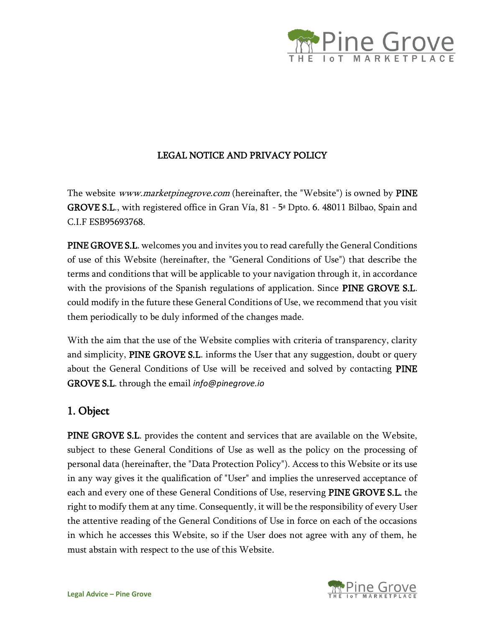

#### LEGAL NOTICE AND PRIVACY POLICY

The website *www.marketpinegrove.com* (hereinafter, the "Website") is owned by **PINE GROVE S.L., with registered office in Gran Vía, 81 - 5<sup>a</sup> Dpto. 6. 48011 Bilbao, Spain and** C.I.F ESB95693768.

PINE GROVE S.L. welcomes you and invites you to read carefully the General Conditions of use of this Website (hereinafter, the "General Conditions of Use") that describe the terms and conditions that will be applicable to your navigation through it, in accordance with the provisions of the Spanish regulations of application. Since **PINE GROVE S.L.** could modify in the future these General Conditions of Use, we recommend that you visit them periodically to be duly informed of the changes made.

With the aim that the use of the Website complies with criteria of transparency, clarity and simplicity, PINE GROVE S.L. informs the User that any suggestion, doubt or query about the General Conditions of Use will be received and solved by contacting PINE GROVE S.L. through the email *info@pinegrove.io*

### 1. Object

PINE GROVE S.L. provides the content and services that are available on the Website, subject to these General Conditions of Use as well as the policy on the processing of personal data (hereinafter, the "Data Protection Policy"). Access to this Website or its use in any way gives it the qualification of "User" and implies the unreserved acceptance of each and every one of these General Conditions of Use, reserving PINE GROVE S.L. the right to modify them at any time. Consequently, it will be the responsibility of every User the attentive reading of the General Conditions of Use in force on each of the occasions in which he accesses this Website, so if the User does not agree with any of them, he must abstain with respect to the use of this Website.

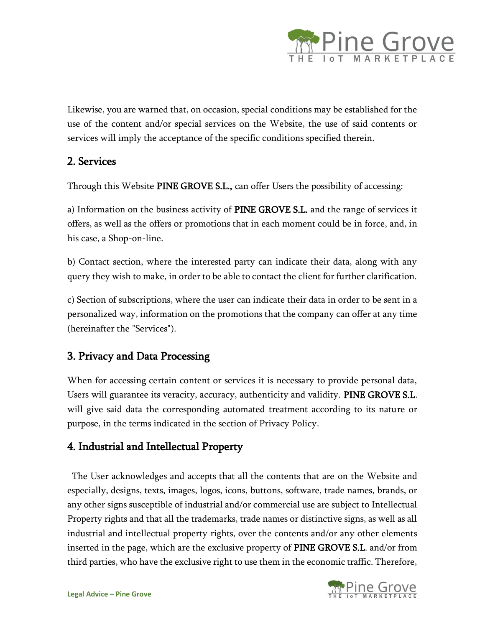

Likewise, you are warned that, on occasion, special conditions may be established for the use of the content and/or special services on the Website, the use of said contents or services will imply the acceptance of the specific conditions specified therein.

## 2. Services

Through this Website PINE GROVE S.L., can offer Users the possibility of accessing:

a) Information on the business activity of PINE GROVE S.L. and the range of services it offers, as well as the offers or promotions that in each moment could be in force, and, in his case, a Shop-on-line.

b) Contact section, where the interested party can indicate their data, along with any query they wish to make, in order to be able to contact the client for further clarification.

c) Section of subscriptions, where the user can indicate their data in order to be sent in a personalized way, information on the promotions that the company can offer at any time (hereinafter the "Services").

# 3. Privacy and Data Processing

When for accessing certain content or services it is necessary to provide personal data, Users will guarantee its veracity, accuracy, authenticity and validity. PINE GROVE S.L. will give said data the corresponding automated treatment according to its nature or purpose, in the terms indicated in the section of Privacy Policy.

# 4. Industrial and Intellectual Property

The User acknowledges and accepts that all the contents that are on the Website and especially, designs, texts, images, logos, icons, buttons, software, trade names, brands, or any other signs susceptible of industrial and/or commercial use are subject to Intellectual Property rights and that all the trademarks, trade names or distinctive signs, as well as all industrial and intellectual property rights, over the contents and/or any other elements inserted in the page, which are the exclusive property of PINE GROVE S.L. and/or from third parties, who have the exclusive right to use them in the economic traffic. Therefore,

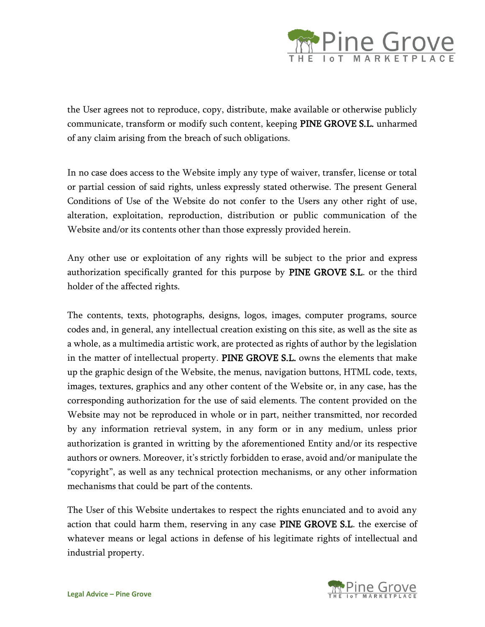

the User agrees not to reproduce, copy, distribute, make available or otherwise publicly communicate, transform or modify such content, keeping PINE GROVE S.L. unharmed of any claim arising from the breach of such obligations.

In no case does access to the Website imply any type of waiver, transfer, license or total or partial cession of said rights, unless expressly stated otherwise. The present General Conditions of Use of the Website do not confer to the Users any other right of use, alteration, exploitation, reproduction, distribution or public communication of the Website and/or its contents other than those expressly provided herein.

Any other use or exploitation of any rights will be subject to the prior and express authorization specifically granted for this purpose by PINE GROVE S.L. or the third holder of the affected rights.

The contents, texts, photographs, designs, logos, images, computer programs, source codes and, in general, any intellectual creation existing on this site, as well as the site as a whole, as a multimedia artistic work, are protected as rights of author by the legislation in the matter of intellectual property. PINE GROVE S.L. owns the elements that make up the graphic design of the Website, the menus, navigation buttons, HTML code, texts, images, textures, graphics and any other content of the Website or, in any case, has the corresponding authorization for the use of said elements. The content provided on the Website may not be reproduced in whole or in part, neither transmitted, nor recorded by any information retrieval system, in any form or in any medium, unless prior authorization is granted in writting by the aforementioned Entity and/or its respective authors or owners. Moreover, it's strictly forbidden to erase, avoid and/or manipulate the "copyright", as well as any technical protection mechanisms, or any other information mechanisms that could be part of the contents.

The User of this Website undertakes to respect the rights enunciated and to avoid any action that could harm them, reserving in any case PINE GROVE S.L. the exercise of whatever means or legal actions in defense of his legitimate rights of intellectual and industrial property.

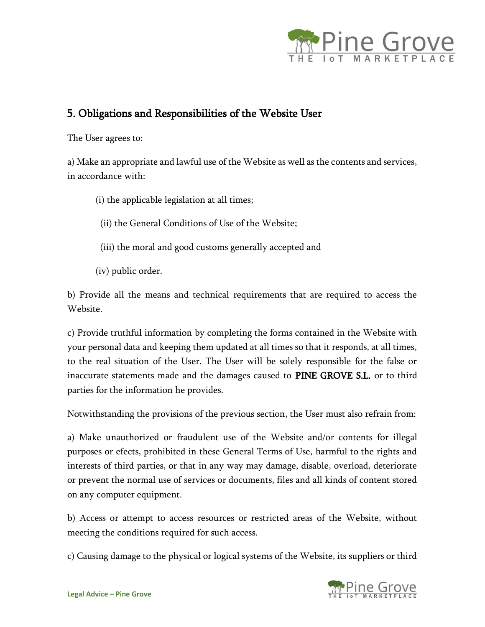

## 5. Obligations and Responsibilities of the Website User

The User agrees to:

a) Make an appropriate and lawful use of the Website as well as the contents and services, in accordance with:

- (i) the applicable legislation at all times;
- (ii) the General Conditions of Use of the Website;
- (iii) the moral and good customs generally accepted and
- (iv) public order.

b) Provide all the means and technical requirements that are required to access the Website.

c) Provide truthful information by completing the forms contained in the Website with your personal data and keeping them updated at all times so that it responds, at all times, to the real situation of the User. The User will be solely responsible for the false or inaccurate statements made and the damages caused to PINE GROVE S.L. or to third parties for the information he provides.

Notwithstanding the provisions of the previous section, the User must also refrain from:

a) Make unauthorized or fraudulent use of the Website and/or contents for illegal purposes or efects, prohibited in these General Terms of Use, harmful to the rights and interests of third parties, or that in any way may damage, disable, overload, deteriorate or prevent the normal use of services or documents, files and all kinds of content stored on any computer equipment.

b) Access or attempt to access resources or restricted areas of the Website, without meeting the conditions required for such access.

c) Causing damage to the physical or logical systems of the Website, its suppliers or third

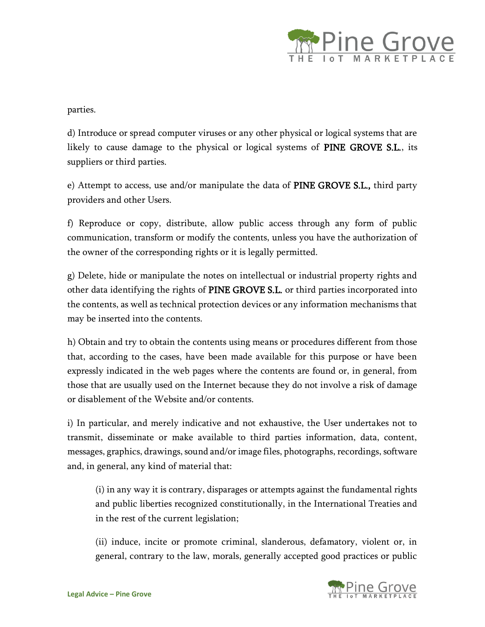

parties.

d) Introduce or spread computer viruses or any other physical or logical systems that are likely to cause damage to the physical or logical systems of PINE GROVE S.L., its suppliers or third parties.

e) Attempt to access, use and/or manipulate the data of PINE GROVE S.L., third party providers and other Users.

f) Reproduce or copy, distribute, allow public access through any form of public communication, transform or modify the contents, unless you have the authorization of the owner of the corresponding rights or it is legally permitted.

g) Delete, hide or manipulate the notes on intellectual or industrial property rights and other data identifying the rights of PINE GROVE S.L. or third parties incorporated into the contents, as well as technical protection devices or any information mechanisms that may be inserted into the contents.

h) Obtain and try to obtain the contents using means or procedures different from those that, according to the cases, have been made available for this purpose or have been expressly indicated in the web pages where the contents are found or, in general, from those that are usually used on the Internet because they do not involve a risk of damage or disablement of the Website and/or contents.

i) In particular, and merely indicative and not exhaustive, the User undertakes not to transmit, disseminate or make available to third parties information, data, content, messages, graphics, drawings, sound and/or image files, photographs, recordings, software and, in general, any kind of material that:

(i) in any way it is contrary, disparages or attempts against the fundamental rights and public liberties recognized constitutionally, in the International Treaties and in the rest of the current legislation;

(ii) induce, incite or promote criminal, slanderous, defamatory, violent or, in general, contrary to the law, morals, generally accepted good practices or public

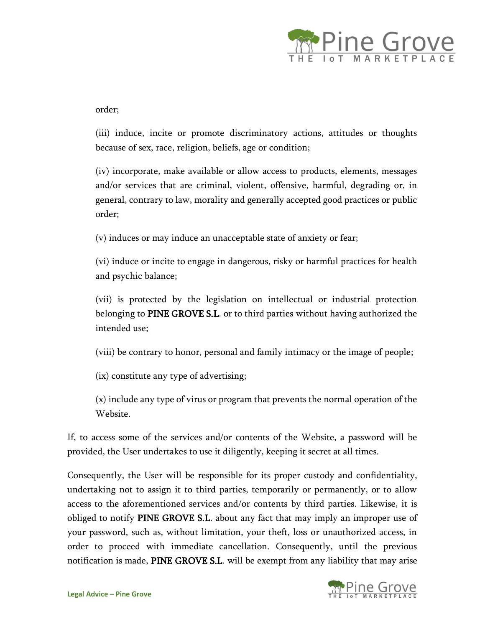

order;

(iii) induce, incite or promote discriminatory actions, attitudes or thoughts because of sex, race, religion, beliefs, age or condition;

(iv) incorporate, make available or allow access to products, elements, messages and/or services that are criminal, violent, offensive, harmful, degrading or, in general, contrary to law, morality and generally accepted good practices or public order;

(v) induces or may induce an unacceptable state of anxiety or fear;

(vi) induce or incite to engage in dangerous, risky or harmful practices for health and psychic balance;

(vii) is protected by the legislation on intellectual or industrial protection belonging to PINE GROVE S.L. or to third parties without having authorized the intended use;

(viii) be contrary to honor, personal and family intimacy or the image of people;

(ix) constitute any type of advertising;

(x) include any type of virus or program that prevents the normal operation of the Website.

If, to access some of the services and/or contents of the Website, a password will be provided, the User undertakes to use it diligently, keeping it secret at all times.

Consequently, the User will be responsible for its proper custody and confidentiality, undertaking not to assign it to third parties, temporarily or permanently, or to allow access to the aforementioned services and/or contents by third parties. Likewise, it is obliged to notify PINE GROVE S.L. about any fact that may imply an improper use of your password, such as, without limitation, your theft, loss or unauthorized access, in order to proceed with immediate cancellation. Consequently, until the previous notification is made, PINE GROVE S.L. will be exempt from any liability that may arise

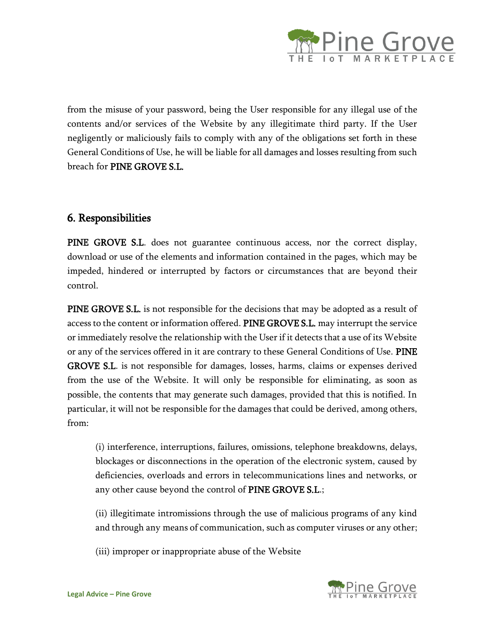

from the misuse of your password, being the User responsible for any illegal use of the contents and/or services of the Website by any illegitimate third party. If the User negligently or maliciously fails to comply with any of the obligations set forth in these General Conditions of Use, he will be liable for all damages and losses resulting from such breach for PINE GROVE S.L.

### 6. Responsibilities

PINE GROVE S.L. does not guarantee continuous access, nor the correct display, download or use of the elements and information contained in the pages, which may be impeded, hindered or interrupted by factors or circumstances that are beyond their control.

PINE GROVE S.L. is not responsible for the decisions that may be adopted as a result of access to the content or information offered. PINE GROVE S.L. may interrupt the service or immediately resolve the relationship with the User if it detects that a use of its Website or any of the services offered in it are contrary to these General Conditions of Use. PINE GROVE S.L. is not responsible for damages, losses, harms, claims or expenses derived from the use of the Website. It will only be responsible for eliminating, as soon as possible, the contents that may generate such damages, provided that this is notified. In particular, it will not be responsible for the damages that could be derived, among others, from:

(i) interference, interruptions, failures, omissions, telephone breakdowns, delays, blockages or disconnections in the operation of the electronic system, caused by deficiencies, overloads and errors in telecommunications lines and networks, or any other cause beyond the control of PINE GROVE S.L.;

(ii) illegitimate intromissions through the use of malicious programs of any kind and through any means of communication, such as computer viruses or any other;

(iii) improper or inappropriate abuse of the Website

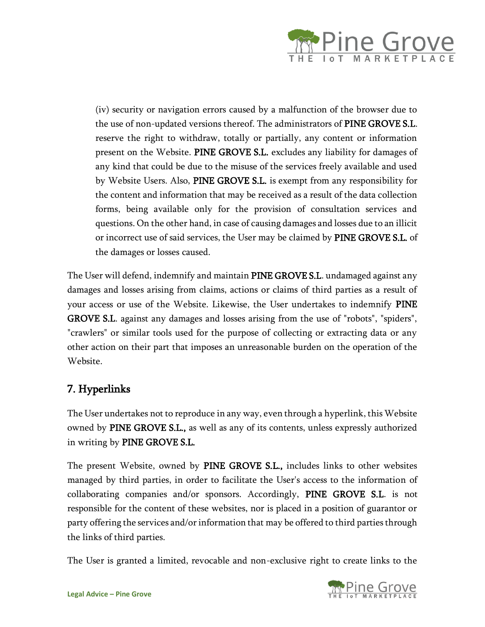

(iv) security or navigation errors caused by a malfunction of the browser due to the use of non-updated versions thereof. The administrators of PINE GROVE S.L. reserve the right to withdraw, totally or partially, any content or information present on the Website. PINE GROVE S.L. excludes any liability for damages of any kind that could be due to the misuse of the services freely available and used by Website Users. Also, PINE GROVE S.L. is exempt from any responsibility for the content and information that may be received as a result of the data collection forms, being available only for the provision of consultation services and questions. On the other hand, in case of causing damages and losses due to an illicit or incorrect use of said services, the User may be claimed by PINE GROVE S.L. of the damages or losses caused.

The User will defend, indemnify and maintain PINE GROVE S.L. undamaged against any damages and losses arising from claims, actions or claims of third parties as a result of your access or use of the Website. Likewise, the User undertakes to indemnify PINE GROVE S.L. against any damages and losses arising from the use of "robots", "spiders", "crawlers" or similar tools used for the purpose of collecting or extracting data or any other action on their part that imposes an unreasonable burden on the operation of the Website.

# 7. Hyperlinks

The User undertakes not to reproduce in any way, even through a hyperlink, this Website owned by PINE GROVE S.L., as well as any of its contents, unless expressly authorized in writing by PINE GROVE S.L.

The present Website, owned by PINE GROVE S.L., includes links to other websites managed by third parties, in order to facilitate the User's access to the information of collaborating companies and/or sponsors. Accordingly, PINE GROVE S.L. is not responsible for the content of these websites, nor is placed in a position of guarantor or party offering the services and/or information that may be offered to third parties through the links of third parties.

The User is granted a limited, revocable and non-exclusive right to create links to the

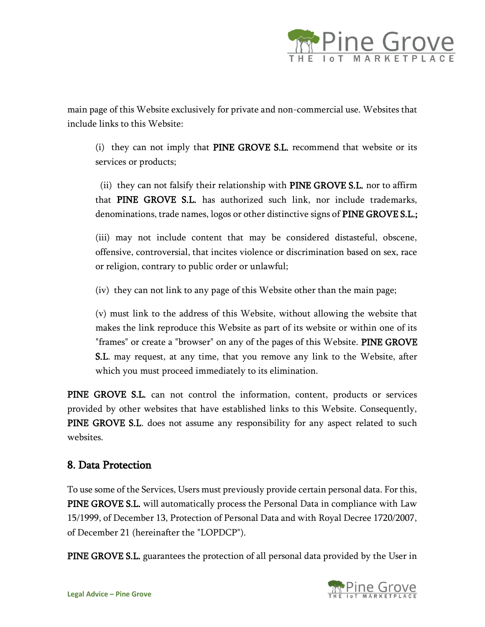

main page of this Website exclusively for private and non-commercial use. Websites that include links to this Website:

(i) they can not imply that PINE GROVE S.L. recommend that website or its services or products;

(ii) they can not falsify their relationship with PINE GROVE S.L. nor to affirm that PINE GROVE S.L. has authorized such link, nor include trademarks, denominations, trade names, logos or other distinctive signs of PINE GROVE S.L.;

(iii) may not include content that may be considered distasteful, obscene, offensive, controversial, that incites violence or discrimination based on sex, race or religion, contrary to public order or unlawful;

(iv) they can not link to any page of this Website other than the main page;

(v) must link to the address of this Website, without allowing the website that makes the link reproduce this Website as part of its website or within one of its "frames" or create a "browser" on any of the pages of this Website. PINE GROVE S.L. may request, at any time, that you remove any link to the Website, after which you must proceed immediately to its elimination.

PINE GROVE S.L. can not control the information, content, products or services provided by other websites that have established links to this Website. Consequently, PINE GROVE S.L. does not assume any responsibility for any aspect related to such websites.

### 8. Data Protection

To use some of the Services, Users must previously provide certain personal data. For this, PINE GROVE S.L. will automatically process the Personal Data in compliance with Law 15/1999, of December 13, Protection of Personal Data and with Royal Decree 1720/2007, of December 21 (hereinafter the "LOPDCP").

PINE GROVE S.L. guarantees the protection of all personal data provided by the User in

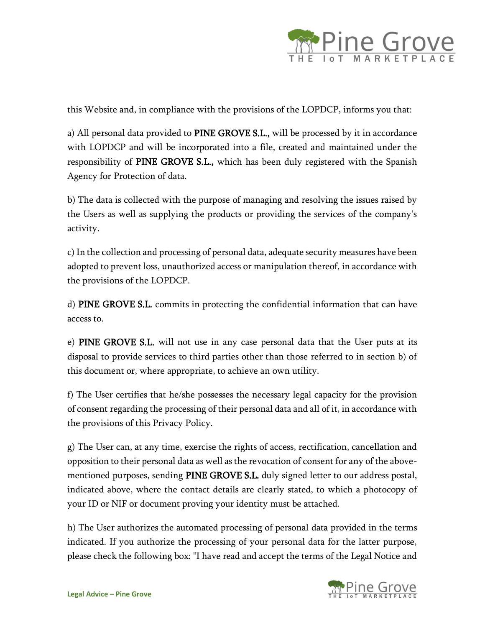

this Website and, in compliance with the provisions of the LOPDCP, informs you that:

a) All personal data provided to PINE GROVE S.L., will be processed by it in accordance with LOPDCP and will be incorporated into a file, created and maintained under the responsibility of PINE GROVE S.L., which has been duly registered with the Spanish Agency for Protection of data.

b) The data is collected with the purpose of managing and resolving the issues raised by the Users as well as supplying the products or providing the services of the company's activity.

c) In the collection and processing of personal data, adequate security measures have been adopted to prevent loss, unauthorized access or manipulation thereof, in accordance with the provisions of the LOPDCP.

d) PINE GROVE S.L. commits in protecting the confidential information that can have access to.

e) PINE GROVE S.L. will not use in any case personal data that the User puts at its disposal to provide services to third parties other than those referred to in section b) of this document or, where appropriate, to achieve an own utility.

f) The User certifies that he/she possesses the necessary legal capacity for the provision of consent regarding the processing of their personal data and all of it, in accordance with the provisions of this Privacy Policy.

g) The User can, at any time, exercise the rights of access, rectification, cancellation and opposition to their personal data as well as the revocation of consent for any of the abovementioned purposes, sending PINE GROVE S.L. duly signed letter to our address postal, indicated above, where the contact details are clearly stated, to which a photocopy of your ID or NIF or document proving your identity must be attached.

h) The User authorizes the automated processing of personal data provided in the terms indicated. If you authorize the processing of your personal data for the latter purpose, please check the following box: "I have read and accept the terms of the Legal Notice and

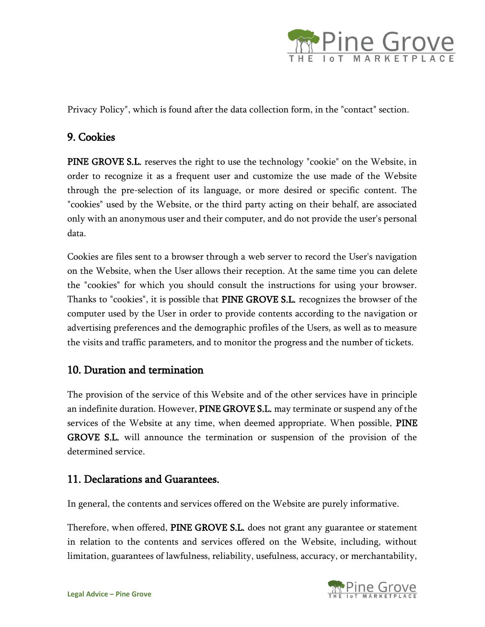

Privacy Policy", which is found after the data collection form, in the "contact" section.

## 9. Cookies

PINE GROVE S.L. reserves the right to use the technology "cookie" on the Website, in order to recognize it as a frequent user and customize the use made of the Website through the pre-selection of its language, or more desired or specific content. The "cookies" used by the Website, or the third party acting on their behalf, are associated only with an anonymous user and their computer, and do not provide the user's personal data.

Cookies are files sent to a browser through a web server to record the User's navigation on the Website, when the User allows their reception. At the same time you can delete the "cookies" for which you should consult the instructions for using your browser. Thanks to "cookies", it is possible that PINE GROVE S.L. recognizes the browser of the computer used by the User in order to provide contents according to the navigation or advertising preferences and the demographic profiles of the Users, as well as to measure the visits and traffic parameters, and to monitor the progress and the number of tickets.

### 10. Duration and termination

The provision of the service of this Website and of the other services have in principle an indefinite duration. However, PINE GROVE S.L. may terminate or suspend any of the services of the Website at any time, when deemed appropriate. When possible, PINE GROVE S.L. will announce the termination or suspension of the provision of the determined service.

### 11. Declarations and Guarantees.

In general, the contents and services offered on the Website are purely informative.

Therefore, when offered, PINE GROVE S.L. does not grant any guarantee or statement in relation to the contents and services offered on the Website, including, without limitation, guarantees of lawfulness, reliability, usefulness, accuracy, or merchantability,